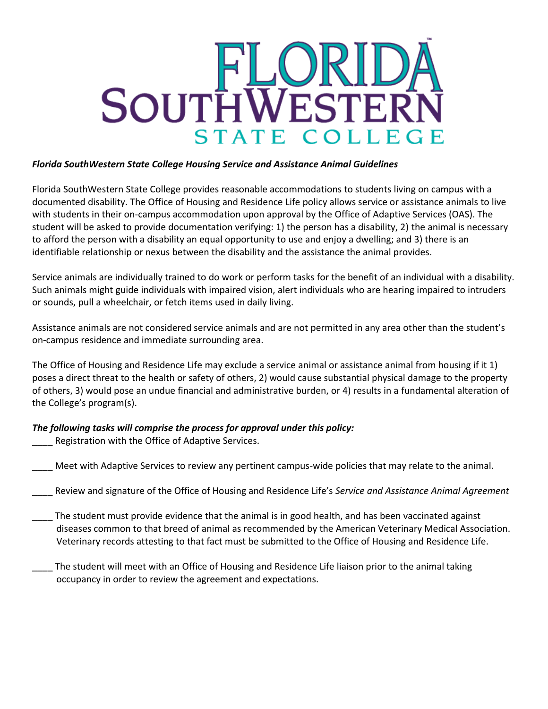

## *Florida SouthWestern State College Housing Service and Assistance Animal Guidelines*

Florida SouthWestern State College provides reasonable accommodations to students living on campus with a documented disability. The Office of Housing and Residence Life policy allows service or assistance animals to live with students in their on-campus accommodation upon approval by the Office of Adaptive Services (OAS). The student will be asked to provide documentation verifying: 1) the person has a disability, 2) the animal is necessary to afford the person with a disability an equal opportunity to use and enjoy a dwelling; and 3) there is an identifiable relationship or nexus between the disability and the assistance the animal provides.

Service animals are individually trained to do work or perform tasks for the benefit of an individual with a disability. Such animals might guide individuals with impaired vision, alert individuals who are hearing impaired to intruders or sounds, pull a wheelchair, or fetch items used in daily living.

Assistance animals are not considered service animals and are not permitted in any area other than the student's on-campus residence and immediate surrounding area.

The Office of Housing and Residence Life may exclude a service animal or assistance animal from housing if it 1) poses a direct threat to the health or safety of others, 2) would cause substantial physical damage to the property of others, 3) would pose an undue financial and administrative burden, or 4) results in a fundamental alteration of the College's program(s).

## *The following tasks will comprise the process for approval under this policy:*

- Registration with the Office of Adaptive Services.
- Meet with Adaptive Services to review any pertinent campus-wide policies that may relate to the animal.
- \_\_\_\_ Review and signature of the Office of Housing and Residence Life's *Service and Assistance Animal Agreement*
- The student must provide evidence that the animal is in good health, and has been vaccinated against diseases common to that breed of animal as recommended by the American Veterinary Medical Association. Veterinary records attesting to that fact must be submitted to the Office of Housing and Residence Life.
- \_\_\_\_ The student will meet with an Office of Housing and Residence Life liaison prior to the animal taking occupancy in order to review the agreement and expectations.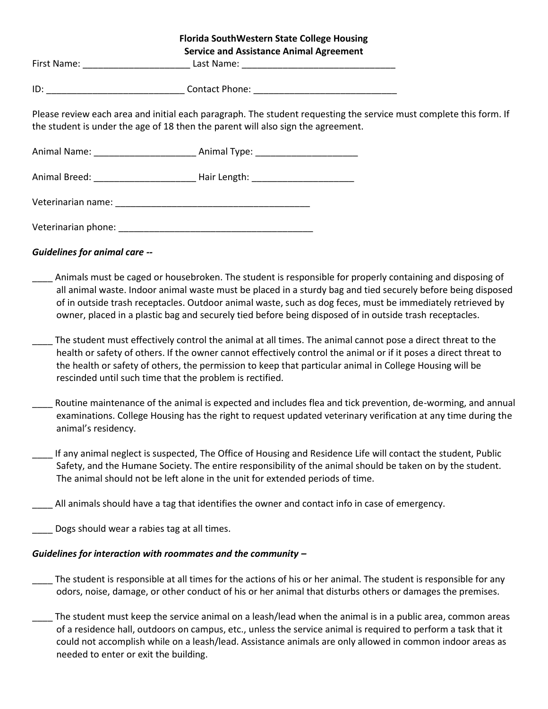|                                      | <b>Florida SouthWestern State College Housing</b><br><b>Service and Assistance Animal Agreement</b> |                                                                                                                                                                                                                                                                                                                                                                                                                                                                                                                                                                                                                                                                                       |
|--------------------------------------|-----------------------------------------------------------------------------------------------------|---------------------------------------------------------------------------------------------------------------------------------------------------------------------------------------------------------------------------------------------------------------------------------------------------------------------------------------------------------------------------------------------------------------------------------------------------------------------------------------------------------------------------------------------------------------------------------------------------------------------------------------------------------------------------------------|
|                                      |                                                                                                     |                                                                                                                                                                                                                                                                                                                                                                                                                                                                                                                                                                                                                                                                                       |
|                                      |                                                                                                     |                                                                                                                                                                                                                                                                                                                                                                                                                                                                                                                                                                                                                                                                                       |
|                                      | the student is under the age of 18 then the parent will also sign the agreement.                    | Please review each area and initial each paragraph. The student requesting the service must complete this form. If                                                                                                                                                                                                                                                                                                                                                                                                                                                                                                                                                                    |
|                                      | Animal Name: __________________________________ Animal Type: ____________________                   |                                                                                                                                                                                                                                                                                                                                                                                                                                                                                                                                                                                                                                                                                       |
|                                      | Animal Breed: __________________________________ Hair Length: ___________________                   |                                                                                                                                                                                                                                                                                                                                                                                                                                                                                                                                                                                                                                                                                       |
|                                      |                                                                                                     |                                                                                                                                                                                                                                                                                                                                                                                                                                                                                                                                                                                                                                                                                       |
|                                      |                                                                                                     |                                                                                                                                                                                                                                                                                                                                                                                                                                                                                                                                                                                                                                                                                       |
| <b>Guidelines for animal care --</b> |                                                                                                     |                                                                                                                                                                                                                                                                                                                                                                                                                                                                                                                                                                                                                                                                                       |
|                                      |                                                                                                     | Animals must be caged or housebroken. The student is responsible for properly containing and disposing of<br>all animal waste. Indoor animal waste must be placed in a sturdy bag and tied securely before being disposed<br>of in outside trash receptacles. Outdoor animal waste, such as dog feces, must be immediately retrieved by<br>owner, placed in a plastic bag and securely tied before being disposed of in outside trash receptacles.<br>The student must effectively control the animal at all times. The animal cannot pose a direct threat to the<br>health or safety of others. If the owner cannot effectively control the animal or if it poses a direct threat to |
|                                      | rescinded until such time that the problem is rectified.                                            | the health or safety of others, the permission to keep that particular animal in College Housing will be                                                                                                                                                                                                                                                                                                                                                                                                                                                                                                                                                                              |
| animal's residency.                  |                                                                                                     | Routine maintenance of the animal is expected and includes flea and tick prevention, de-worming, and annual<br>examinations. College Housing has the right to request updated veterinary verification at any time during the                                                                                                                                                                                                                                                                                                                                                                                                                                                          |
|                                      | The animal should not be left alone in the unit for extended periods of time.                       | If any animal neglect is suspected, The Office of Housing and Residence Life will contact the student, Public<br>Safety, and the Humane Society. The entire responsibility of the animal should be taken on by the student.                                                                                                                                                                                                                                                                                                                                                                                                                                                           |
|                                      |                                                                                                     | All animals should have a tag that identifies the owner and contact info in case of emergency.                                                                                                                                                                                                                                                                                                                                                                                                                                                                                                                                                                                        |
|                                      | Dogs should wear a rabies tag at all times.                                                         |                                                                                                                                                                                                                                                                                                                                                                                                                                                                                                                                                                                                                                                                                       |
|                                      | Guidelines for interaction with roommates and the community -                                       |                                                                                                                                                                                                                                                                                                                                                                                                                                                                                                                                                                                                                                                                                       |
|                                      |                                                                                                     | The student is responsible at all times for the actions of his or her animal. The student is responsible for any<br>odors, noise, damage, or other conduct of his or her animal that disturbs others or damages the premises.                                                                                                                                                                                                                                                                                                                                                                                                                                                         |
|                                      |                                                                                                     | The student must keep the service animal on a leash/lead when the animal is in a public area, common areas<br>of a residence hall, outdoors on campus, etc., unless the service animal is required to perform a task that it<br>could not accomplish while on a leash/lead. Assistance animals are only allowed in common indoor areas as                                                                                                                                                                                                                                                                                                                                             |

needed to enter or exit the building.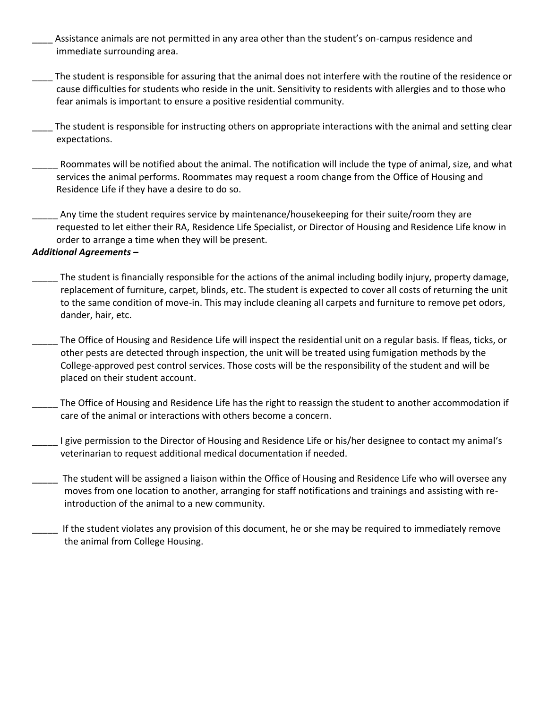- \_\_\_\_ Assistance animals are not permitted in any area other than the student's on-campus residence and immediate surrounding area.
- \_\_\_\_ The student is responsible for assuring that the animal does not interfere with the routine of the residence or cause difficulties for students who reside in the unit. Sensitivity to residents with allergies and to those who fear animals is important to ensure a positive residential community.
- The student is responsible for instructing others on appropriate interactions with the animal and setting clear expectations.
- Roommates will be notified about the animal. The notification will include the type of animal, size, and what services the animal performs. Roommates may request a room change from the Office of Housing and Residence Life if they have a desire to do so.
- Any time the student requires service by maintenance/housekeeping for their suite/room they are requested to let either their RA, Residence Life Specialist, or Director of Housing and Residence Life know in order to arrange a time when they will be present.

## *Additional Agreements –*

- The student is financially responsible for the actions of the animal including bodily injury, property damage, replacement of furniture, carpet, blinds, etc. The student is expected to cover all costs of returning the unit to the same condition of move-in. This may include cleaning all carpets and furniture to remove pet odors, dander, hair, etc.
- The Office of Housing and Residence Life will inspect the residential unit on a regular basis. If fleas, ticks, or other pests are detected through inspection, the unit will be treated using fumigation methods by the College-approved pest control services. Those costs will be the responsibility of the student and will be placed on their student account.
- The Office of Housing and Residence Life has the right to reassign the student to another accommodation if care of the animal or interactions with others become a concern.
- I give permission to the Director of Housing and Residence Life or his/her designee to contact my animal's veterinarian to request additional medical documentation if needed.
- The student will be assigned a liaison within the Office of Housing and Residence Life who will oversee any moves from one location to another, arranging for staff notifications and trainings and assisting with reintroduction of the animal to a new community.
- If the student violates any provision of this document, he or she may be required to immediately remove the animal from College Housing.